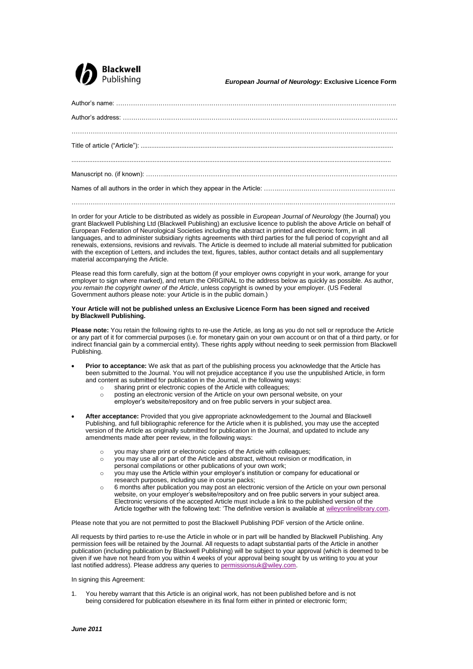

*European Journal of Neurology***: Exclusive Licence Form**

In order for your Article to be distributed as widely as possible in *European Journal of Neurology* (the Journal) you grant Blackwell Publishing Ltd (Blackwell Publishing) an exclusive licence to publish the above Article on behalf of European Federation of Neurological Societies including the abstract in printed and electronic form, in all languages, and to administer subsidiary rights agreements with third parties for the full period of copyright and all renewals, extensions, revisions and revivals. The Article is deemed to include all material submitted for publication with the exception of Letters, and includes the text, figures, tables, author contact details and all supplementary material accompanying the Article.

Please read this form carefully, sign at the bottom (if your employer owns copyright in your work, arrange for your employer to sign where marked), and return the ORIGINAL to the address below as quickly as possible. As author, *you remain the copyright owner of the Article*, unless copyright is owned by your employer. (US Federal Government authors please note: your Article is in the public domain.)

## **Your Article will not be published unless an Exclusive Licence Form has been signed and received by Blackwell Publishing.**

**Please note:** You retain the following rights to re-use the Article, as long as you do not sell or reproduce the Article or any part of it for commercial purposes (i.e. for monetary gain on your own account or on that of a third party, or for indirect financial gain by a commercial entity). These rights apply without needing to seek permission from Blackwell Publishing.

- **Prior to acceptance:** We ask that as part of the publishing process you acknowledge that the Article has been submitted to the Journal. You will not prejudice acceptance if you use the unpublished Article, in form and content as submitted for publication in the Journal, in the following ways:
	- o sharing print or electronic copies of the Article with colleagues;<br>
	o posting an electronic version of the Article on your own personal
	- posting an electronic version of the Article on your own personal website, on your employer's website/repository and on free public servers in your subject area.
- **After acceptance:** Provided that you give appropriate acknowledgement to the Journal and Blackwell Publishing, and full bibliographic reference for the Article when it is published, you may use the accepted version of the Article as originally submitted for publication in the Journal, and updated to include any amendments made after peer review, in the following ways:
	- o you may share print or electronic copies of the Article with colleagues;
	- o you may use all or part of the Article and abstract, without revision or modification, in
	- personal compilations or other publications of your own work;
	- o you may use the Article within your employer"s institution or company for educational or research purposes, including use in course packs;
	- o 6 months after publication you may post an electronic version of the Article on your own personal website, on your employer"s website/repository and on free public servers in your subject area. Electronic versions of the accepted Article must include a link to the published version of the Article together with the following text: 'The definitive version is available at wileyonlinelibrary.com.

Please note that you are not permitted to post the Blackwell Publishing PDF version of the Article online.

All requests by third parties to re-use the Article in whole or in part will be handled by Blackwell Publishing. Any permission fees will be retained by the Journal. All requests to adapt substantial parts of the Article in another publication (including publication by Blackwell Publishing) will be subject to your approval (which is deemed to be given if we have not heard from you within 4 weeks of your approval being sought by us writing to you at your last notified address). Please address any queries to permissionsuk@wiley.com.

In signing this Agreement:

1. You hereby warrant that this Article is an original work, has not been published before and is not being considered for publication elsewhere in its final form either in printed or electronic form;